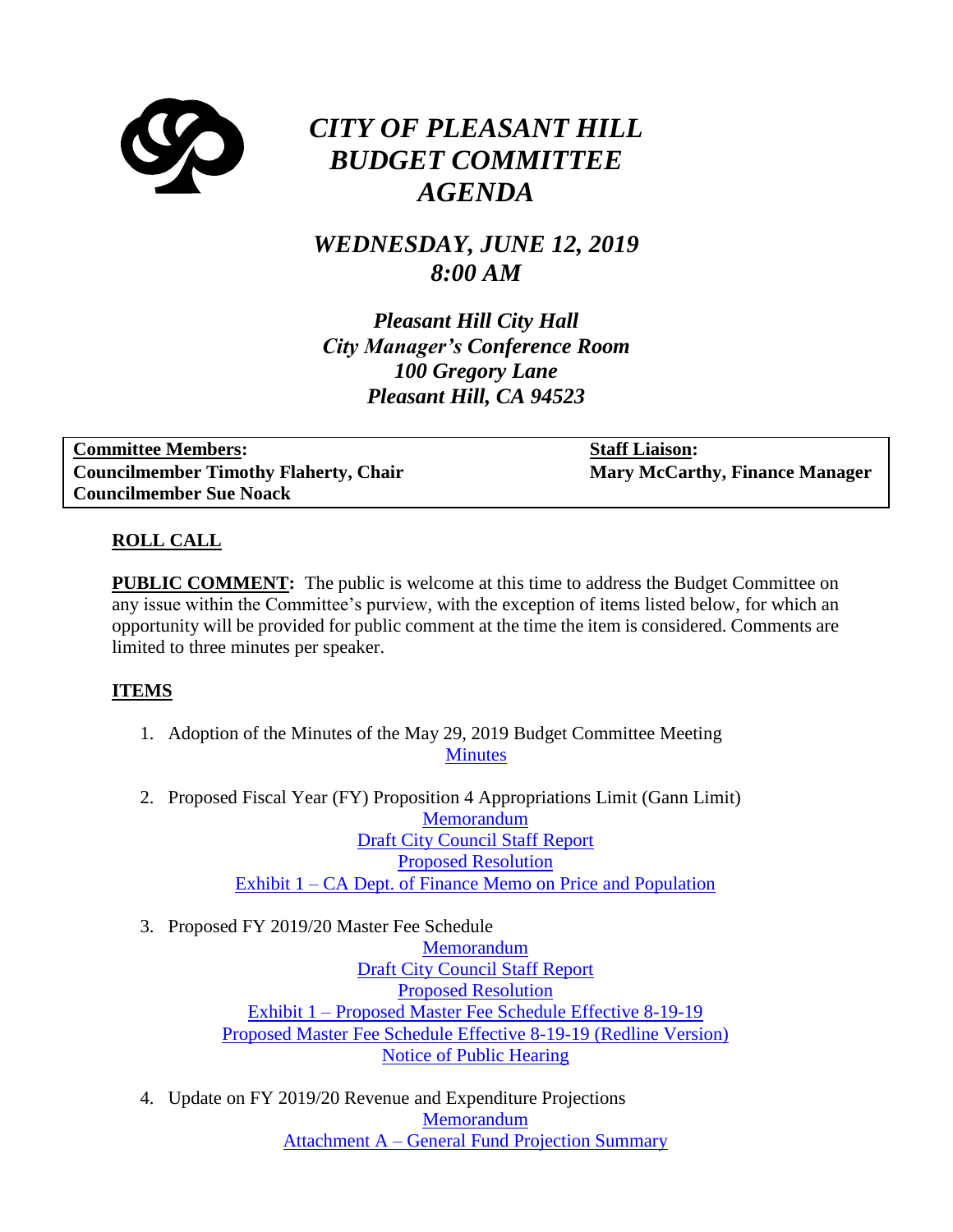

# *CITY OF PLEASANT HILL BUDGET COMMITTEE AGENDA*

# *WEDNESDAY, JUNE 12, 2019 8:00 AM*

*Pleasant Hill City Hall City Manager's Conference Room 100 Gregory Lane Pleasant Hill, CA 94523*

| <b>Committee Members:</b>                    | <b>Staff Liaison:</b>                 |
|----------------------------------------------|---------------------------------------|
| <b>Councilmember Timothy Flaherty, Chair</b> | <b>Mary McCarthy, Finance Manager</b> |
| <b>Councilmember Sue Noack</b>               |                                       |

## **ROLL CALL**

**PUBLIC COMMENT:** The public is welcome at this time to address the Budget Committee on any issue within the Committee's purview, with the exception of items listed below, for which an opportunity will be provided for public comment at the time the item is considered. Comments are limited to three minutes per speaker.

#### **ITEMS**

- 1. Adoption of the Minutes of the May 29, 2019 Budget Committee Meeting **[Minutes](https://www.ci.pleasant-hill.ca.us/DocumentCenter/View/18172/Minutes-5-29-19)**
- 2. Proposed Fiscal Year (FY) Proposition 4 Appropriations Limit (Gann Limit) **[Memorandum](https://www.ci.pleasant-hill.ca.us/DocumentCenter/View/18179/Memorandum---Gann-Limit)** [Draft City Council Staff](https://www.ci.pleasant-hill.ca.us/DocumentCenter/View/18180/Draft-City-Council-Staff-Report---Gann-Limit) Report [Proposed Resolution](https://www.ci.pleasant-hill.ca.us/DocumentCenter/View/18181/Proposed-Resolution---Gann-Limit---DRAFT) Exhibit 1 – [CA Dept. of Finance Memo on Price and Population](https://www.ci.pleasant-hill.ca.us/DocumentCenter/View/18173/Exhibit-1---CA-Dept-of-Finance-Memo-on-Price-and-Population)
- 3. Proposed FY 2019/20 Master Fee Schedule

**[Memorandum](https://www.ci.pleasant-hill.ca.us/DocumentCenter/View/18174/31-Memorandum----Master-Fee-Schedule)** [Draft City Council Staff Report](https://www.ci.pleasant-hill.ca.us/DocumentCenter/View/18182/Draft-City-Council-Staff-Report) [Proposed Resolution](https://www.ci.pleasant-hill.ca.us/DocumentCenter/View/18183/Proposed-Resolution---Master-Fee---DRAFT) Exhibit 1 – [Proposed Master Fee Schedule Effective 8-19-19](https://www.ci.pleasant-hill.ca.us/DocumentCenter/View/18175/Exhibit-1---Proposed-Master-Fee-Schedule) [Proposed Master Fee Schedule Effective 8-19-19 \(Redline Version\)](https://www.ci.pleasant-hill.ca.us/DocumentCenter/View/18176/Proposed-Master-Fee-Schedule---Redline-Version) [Notice of Public Hearing](https://www.ci.pleasant-hill.ca.us/DocumentCenter/View/18177/Notice-of-Public-Hearing)

4. Update on FY 2019/20 Revenue and Expenditure Projections [Memorandum](https://www.ci.pleasant-hill.ca.us/DocumentCenter/View/18184/Memorandum---Revenue-and-Expenditure-Projections) Attachment A – [General Fund Projection Summary](https://www.ci.pleasant-hill.ca.us/DocumentCenter/View/18185/Attachment-A---General-Fund-Projection-Summary)